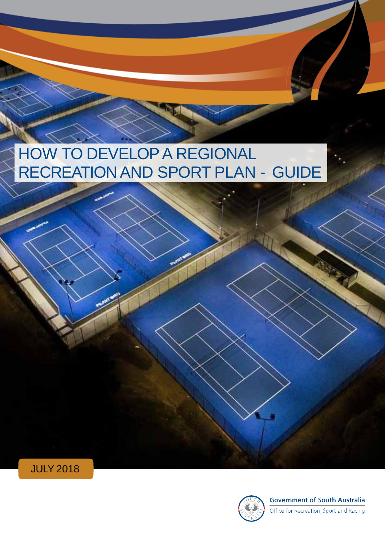# HOW TO DEVELOP A REGIONAL RECREATION AND SPORT PLAN - GUIDE





**Government of South Australia** 

Office for Recreation, Sport and Racing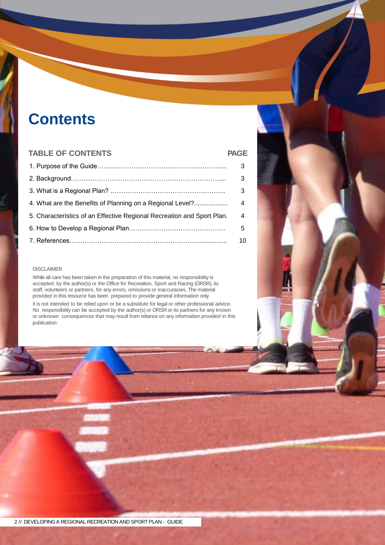# **Contents**

#### **TABLE OF CONTENTS PAGE**

|                                                                        | 3  |
|------------------------------------------------------------------------|----|
|                                                                        | 3  |
|                                                                        | 3  |
| 4. What are the Benefits of Planning on a Regional Level?              | 4  |
| 5. Characteristics of an Effective Regional Recreation and Sport Plan. | 4  |
|                                                                        | 5  |
|                                                                        | 10 |

#### DISCLAIMER

While all care has been taken in the preparation of this material, no responsibility is accepted by the author(s) or the Office for Recreation, Sport and Racing (ORSR), its staff, volunteers or partners, for any errors, omissions or inaccuracies. The material provided in this resource has been prepared to provide general information only.

It is not intended to be relied upon or be a substitute for legal or other professional advice. No responsibility can be accepted by the author(s) or ORSR or its partners for any known or unknown consequences that may result from reliance on any information provided in this publication.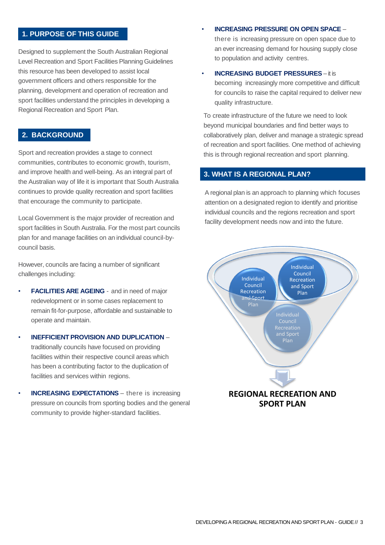#### **1. PURPOSE OF THIS GUIDE**

Designed to supplement the South Australian Regional Level Recreation and Sport Facilities Planning Guidelines this resource has been developed to assist local government officers and others responsible for the planning, development and operation of recreation and sport facilities understand the principles in developing a Regional Recreation and Sport Plan.

#### **2. BACKGROUND**

Sport and recreation provides a stage to connect communities, contributes to economic growth, tourism, and improve health and well-being. As an integral part of the Australian way of life it is important that South Australia continues to provide quality recreation and sport facilities that encourage the community to participate.

Local Government is the major provider of recreation and sport facilities in South Australia. For the most part councils plan for and manage facilities on an individual council-bycouncil basis.

However, councils are facing a number of significant challenges including:

- **FACILITIES ARE AGEING**  and in need of major redevelopment or in some cases replacement to remain fit-for-purpose, affordable and sustainable to operate and maintain.
- **INEFFICIENT PROVISION AND DUPLICATION**  traditionally councils have focused on providing facilities within their respective council areas which has been a contributing factor to the duplication of facilities and services within regions.
- **INCREASING EXPECTATIONS** there is increasing pressure on councils from sporting bodies and the general community to provide higher-standard facilities.

#### • **INCREASING PRESSURE ON OPEN SPACE** –

there is increasing pressure on open space due to an ever increasing demand for housing supply close to population and activity centres.

#### • **INCREASING BUDGET PRESSURES** – it is

becoming increasingly more competitive and difficult for councils to raise the capital required to deliver new quality infrastructure.

To create infrastructure of the future we need to look beyond municipal boundaries and find better ways to collaboratively plan, deliver and manage a strategic spread of recreation and sport facilities. One method of achieving this is through regional recreation and sport planning.

#### **3. WHAT IS A REGIONAL PLAN?**

A regional plan is an approach to planning which focuses attention on a designated region to identify and prioritise individual councils and the regions recreation and sport facility development needs now and into the future.

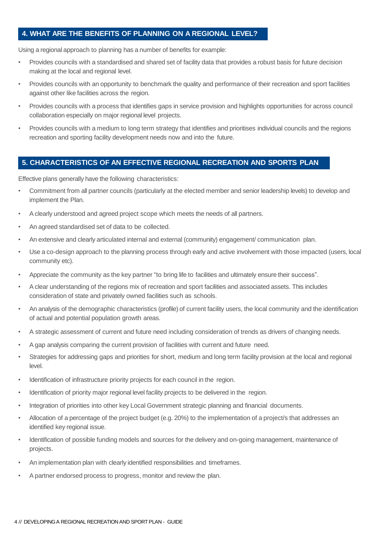#### **4. WHAT ARE THE BENEFITS OF PLANNING ON A REGIONAL LEVEL?**

Using a regional approach to planning has a number of benefits for example:

- Provides councils with a standardised and shared set of facility data that provides a robust basis for future decision making at the local and regional level.
- Provides councils with an opportunity to benchmark the quality and performance of their recreation and sport facilities against other like facilities across the region.
- Provides councils with a process that identifies gaps in service provision and highlights opportunities for across council collaboration especially on major regional level projects.
- Provides councils with a medium to long term strategy that identifies and prioritises individual councils and the regions recreation and sporting facility development needs now and into the future.

#### **5. CHARACTERISTICS OF AN EFFECTIVE REGIONAL RECREATION AND SPORTS PLAN**

Effective plans generally have the following characteristics:

- Commitment from all partner councils (particularly at the elected member and senior leadership levels) to develop and implement the Plan.
- A clearly understood and agreed project scope which meets the needs of all partners.
- An agreed standardised set of data to be collected.
- An extensive and clearly articulated internal and external (community) engagement/ communication plan.
- Use a co-design approach to the planning process through early and active involvement with those impacted (users, local community etc).
- Appreciate the community as the key partner "to bring life to facilities and ultimately ensure their success".
- A clear understanding of the regions mix of recreation and sport facilities and associated assets. This includes consideration of state and privately owned facilities such as schools.
- An analysis of the demographic characteristics (profile) of current facility users, the local community and the identification of actual and potential population growth areas.
- A strategic assessment of current and future need including consideration of trends as drivers of changing needs.
- A gap analysis comparing the current provision of facilities with current and future need.
- Strategies for addressing gaps and priorities for short, medium and long term facility provision at the local and regional level.
- Identification of infrastructure priority projects for each council in the region.
- Identification of priority major regional level facility projects to be delivered in the region.
- Integration of priorities into other key Local Government strategic planning and financial documents.
- Allocation of a percentage of the project budget (e.g. 20%) to the implementation of a project/s that addresses an identified key regional issue.
- Identification of possible funding models and sources for the delivery and on-going management, maintenance of projects.
- An implementation plan with clearly identified responsibilities and timeframes.
- A partner endorsed process to progress, monitor and review the plan.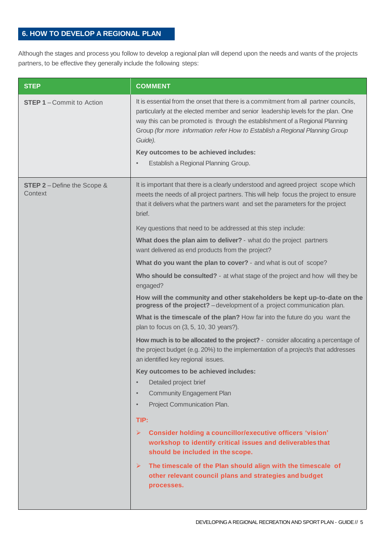### **6. HOW TO DEVELOP A REGIONAL PLAN**

Although the stages and process you follow to develop a regional plan will depend upon the needs and wants of the projects partners, to be effective they generally include the following steps:

| <b>STEP</b>                                   | <b>COMMENT</b>                                                                                                                                                                                                                                                                                                                                                                                                                                                                                                                                                                                                                                                                                                                                                                                                                                                                                                                                                                                                                                                                                                                                                                                                                                                                                                                                                                                                                                                                                                                                                                                                                           |
|-----------------------------------------------|------------------------------------------------------------------------------------------------------------------------------------------------------------------------------------------------------------------------------------------------------------------------------------------------------------------------------------------------------------------------------------------------------------------------------------------------------------------------------------------------------------------------------------------------------------------------------------------------------------------------------------------------------------------------------------------------------------------------------------------------------------------------------------------------------------------------------------------------------------------------------------------------------------------------------------------------------------------------------------------------------------------------------------------------------------------------------------------------------------------------------------------------------------------------------------------------------------------------------------------------------------------------------------------------------------------------------------------------------------------------------------------------------------------------------------------------------------------------------------------------------------------------------------------------------------------------------------------------------------------------------------------|
| <b>STEP 1-Commit to Action</b>                | It is essential from the onset that there is a commitment from all partner councils,<br>particularly at the elected member and senior leadership levels for the plan. One<br>way this can be promoted is through the establishment of a Regional Planning<br>Group (for more information refer How to Establish a Regional Planning Group<br>Guide).<br>Key outcomes to be achieved includes:<br>Establish a Regional Planning Group.<br>$\bullet$                                                                                                                                                                                                                                                                                                                                                                                                                                                                                                                                                                                                                                                                                                                                                                                                                                                                                                                                                                                                                                                                                                                                                                                       |
| <b>STEP 2</b> - Define the Scope &<br>Context | It is important that there is a clearly understood and agreed project scope which<br>meets the needs of all project partners. This will help focus the project to ensure<br>that it delivers what the partners want and set the parameters for the project<br>brief.<br>Key questions that need to be addressed at this step include:<br>What does the plan aim to deliver? - what do the project partners<br>want delivered as end products from the project?<br>What do you want the plan to cover? - and what is out of scope?<br>Who should be consulted? - at what stage of the project and how will they be<br>engaged?<br>How will the community and other stakeholders be kept up-to-date on the<br>progress of the project? - development of a project communication plan.<br>What is the timescale of the plan? How far into the future do you want the<br>plan to focus on (3, 5, 10, 30 years?).<br>How much is to be allocated to the project? - consider allocating a percentage of<br>the project budget (e.g. 20%) to the implementation of a project/s that addresses<br>an identified key regional issues.<br>Key outcomes to be achieved includes:<br>Detailed project brief<br>$\bullet$<br><b>Community Engagement Plan</b><br>$\bullet$<br>Project Communication Plan.<br>$\bullet$<br>TIP:<br>➤<br>Consider holding a councillor/executive officers 'vision'<br>workshop to identify critical issues and deliverables that<br>should be included in the scope.<br>The timescale of the Plan should align with the timescale of<br>$\blacktriangleright$<br>other relevant council plans and strategies and budget |
|                                               | processes.                                                                                                                                                                                                                                                                                                                                                                                                                                                                                                                                                                                                                                                                                                                                                                                                                                                                                                                                                                                                                                                                                                                                                                                                                                                                                                                                                                                                                                                                                                                                                                                                                               |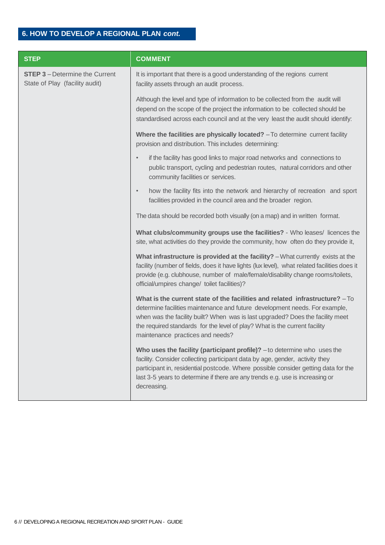## **6. HOW TO DEVELOP A REGIONAL PLAN** *cont.*

| <b>STEP</b>                                                             | <b>COMMENT</b>                                                                                                                                                                                                                                                                                                                                                  |
|-------------------------------------------------------------------------|-----------------------------------------------------------------------------------------------------------------------------------------------------------------------------------------------------------------------------------------------------------------------------------------------------------------------------------------------------------------|
| <b>STEP 3</b> - Determine the Current<br>State of Play (facility audit) | It is important that there is a good understanding of the regions current<br>facility assets through an audit process.                                                                                                                                                                                                                                          |
|                                                                         | Although the level and type of information to be collected from the audit will<br>depend on the scope of the project the information to be collected should be<br>standardised across each council and at the very least the audit should identify:                                                                                                             |
|                                                                         | Where the facilities are physically located? - To determine current facility<br>provision and distribution. This includes determining:                                                                                                                                                                                                                          |
|                                                                         | if the facility has good links to major road networks and connections to<br>$\bullet$<br>public transport, cycling and pedestrian routes, natural corridors and other<br>community facilities or services.                                                                                                                                                      |
|                                                                         | how the facility fits into the network and hierarchy of recreation and sport<br>$\bullet$<br>facilities provided in the council area and the broader region.                                                                                                                                                                                                    |
|                                                                         | The data should be recorded both visually (on a map) and in written format.                                                                                                                                                                                                                                                                                     |
|                                                                         | What clubs/community groups use the facilities? - Who leases/ licences the<br>site, what activities do they provide the community, how often do they provide it,                                                                                                                                                                                                |
|                                                                         | What infrastructure is provided at the facility? - What currently exists at the<br>facility (number of fields, does it have lights (lux level), what related facilities does it<br>provide (e.g. clubhouse, number of male/female/disability change rooms/toilets,<br>official/umpires change/ toilet facilities)?                                              |
|                                                                         | What is the current state of the facilities and related infrastructure? - To<br>determine facilities maintenance and future development needs. For example,<br>when was the facility built? When was is last upgraded? Does the facility meet<br>the required standards for the level of play? What is the current facility<br>maintenance practices and needs? |
|                                                                         | Who uses the facility (participant profile)? - to determine who uses the<br>facility. Consider collecting participant data by age, gender, activity they<br>participant in, residential postcode. Where possible consider getting data for the<br>last 3-5 years to determine if there are any trends e.g. use is increasing or<br>decreasing.                  |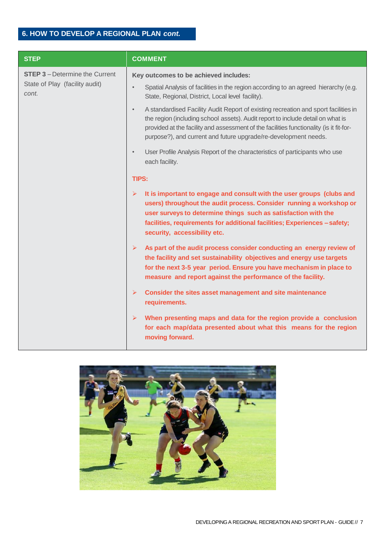| <b>STEP</b>                                                                      | <b>COMMENT</b>                                                                                                                                                                                                                                                                                                                                    |
|----------------------------------------------------------------------------------|---------------------------------------------------------------------------------------------------------------------------------------------------------------------------------------------------------------------------------------------------------------------------------------------------------------------------------------------------|
| <b>STEP 3</b> - Determine the Current<br>State of Play (facility audit)<br>cont. | Key outcomes to be achieved includes:                                                                                                                                                                                                                                                                                                             |
|                                                                                  | Spatial Analysis of facilities in the region according to an agreed hierarchy (e.g.<br>State, Regional, District, Local level facility).                                                                                                                                                                                                          |
|                                                                                  | A standardised Facility Audit Report of existing recreation and sport facilities in<br>$\bullet$<br>the region (including school assets). Audit report to include detail on what is<br>provided at the facility and assessment of the facilities functionality (is it fit-for-<br>purpose?), and current and future upgrade/re-development needs. |
|                                                                                  | User Profile Analysis Report of the characteristics of participants who use<br>$\bullet$<br>each facility.                                                                                                                                                                                                                                        |
|                                                                                  | TIPS:                                                                                                                                                                                                                                                                                                                                             |
|                                                                                  | It is important to engage and consult with the user groups (clubs and<br>➤<br>users) throughout the audit process. Consider running a workshop or<br>user surveys to determine things such as satisfaction with the<br>facilities, requirements for additional facilities; Experiences - safety;<br>security, accessibility etc.                  |
|                                                                                  | As part of the audit process consider conducting an energy review of<br>$\blacktriangleright$<br>the facility and set sustainability objectives and energy use targets<br>for the next 3-5 year period. Ensure you have mechanism in place to<br>measure and report against the performance of the facility.                                      |
|                                                                                  | $\blacktriangleright$<br>Consider the sites asset management and site maintenance<br>requirements.                                                                                                                                                                                                                                                |
|                                                                                  | When presenting maps and data for the region provide a conclusion<br>$\blacktriangleright$<br>for each map/data presented about what this means for the region<br>moving forward.                                                                                                                                                                 |

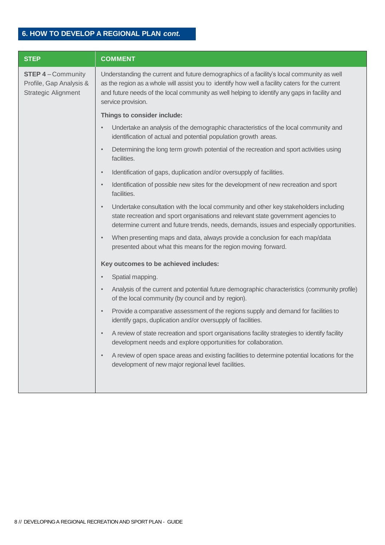# **6. HOW TO DEVELOP A REGIONAL PLAN** *cont.*

| <b>STEP</b>                                                                      | <b>COMMENT</b>                                                                                                                                                                                                                                                                                                     |
|----------------------------------------------------------------------------------|--------------------------------------------------------------------------------------------------------------------------------------------------------------------------------------------------------------------------------------------------------------------------------------------------------------------|
| <b>STEP 4-Community</b><br>Profile, Gap Analysis &<br><b>Strategic Alignment</b> | Understanding the current and future demographics of a facility's local community as well<br>as the region as a whole will assist you to identify how well a facility caters for the current<br>and future needs of the local community as well helping to identify any gaps in facility and<br>service provision. |
|                                                                                  | Things to consider include:                                                                                                                                                                                                                                                                                        |
|                                                                                  | Undertake an analysis of the demographic characteristics of the local community and<br>identification of actual and potential population growth areas.                                                                                                                                                             |
|                                                                                  | Determining the long term growth potential of the recreation and sport activities using<br>$\bullet$<br>facilities.                                                                                                                                                                                                |
|                                                                                  | Identification of gaps, duplication and/or oversupply of facilities.<br>$\bullet$                                                                                                                                                                                                                                  |
|                                                                                  | Identification of possible new sites for the development of new recreation and sport<br>$\bullet$<br>facilities.                                                                                                                                                                                                   |
|                                                                                  | Undertake consultation with the local community and other key stakeholders including<br>$\bullet$<br>state recreation and sport organisations and relevant state government agencies to<br>determine current and future trends, needs, demands, issues and especially opportunities.                               |
|                                                                                  | When presenting maps and data, always provide a conclusion for each map/data<br>presented about what this means for the region moving forward.                                                                                                                                                                     |
|                                                                                  | Key outcomes to be achieved includes:                                                                                                                                                                                                                                                                              |
|                                                                                  | Spatial mapping.                                                                                                                                                                                                                                                                                                   |
|                                                                                  | Analysis of the current and potential future demographic characteristics (community profile)<br>of the local community (by council and by region).                                                                                                                                                                 |
|                                                                                  | Provide a comparative assessment of the regions supply and demand for facilities to<br>identify gaps, duplication and/or oversupply of facilities.                                                                                                                                                                 |
|                                                                                  | A review of state recreation and sport organisations facility strategies to identify facility<br>development needs and explore opportunities for collaboration.                                                                                                                                                    |
|                                                                                  | A review of open space areas and existing facilities to determine potential locations for the<br>development of new major regional level facilities.                                                                                                                                                               |
|                                                                                  |                                                                                                                                                                                                                                                                                                                    |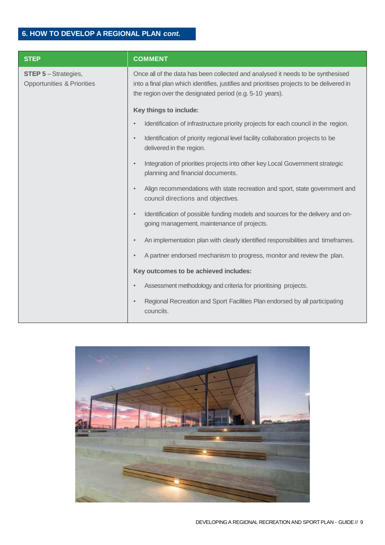# **6. HOW TO DEVELOP A REGIONAL PLAN** *cont.*

| <b>STEP</b>                                                        | <b>COMMENT</b>                                                                                                                                                                                                                           |
|--------------------------------------------------------------------|------------------------------------------------------------------------------------------------------------------------------------------------------------------------------------------------------------------------------------------|
| <b>STEP 5-Strategies,</b><br><b>Opportunities &amp; Priorities</b> | Once all of the data has been collected and analysed it needs to be synthesised<br>into a final plan which identifies, justifies and prioritises projects to be delivered in<br>the region over the designated period (e.g. 5-10 years). |
|                                                                    | Key things to include:                                                                                                                                                                                                                   |
|                                                                    | Identification of infrastructure priority projects for each council in the region.<br>$\bullet$                                                                                                                                          |
|                                                                    | Identification of priority regional level facility collaboration projects to be<br>$\bullet$<br>delivered in the region.                                                                                                                 |
|                                                                    | Integration of priorities projects into other key Local Government strategic<br>$\bullet$<br>planning and financial documents.                                                                                                           |
|                                                                    | Align recommendations with state recreation and sport, state government and<br>$\bullet$<br>council directions and objectives.                                                                                                           |
|                                                                    | Identification of possible funding models and sources for the delivery and on-<br>$\bullet$<br>going management, maintenance of projects.                                                                                                |
|                                                                    | An implementation plan with clearly identified responsibilities and timeframes.<br>$\bullet$                                                                                                                                             |
|                                                                    | A partner endorsed mechanism to progress, monitor and review the plan.<br>$\bullet$                                                                                                                                                      |
|                                                                    | Key outcomes to be achieved includes:                                                                                                                                                                                                    |
|                                                                    | Assessment methodology and criteria for prioritising projects.                                                                                                                                                                           |
|                                                                    | Regional Recreation and Sport Facilities Plan endorsed by all participating<br>councils.                                                                                                                                                 |